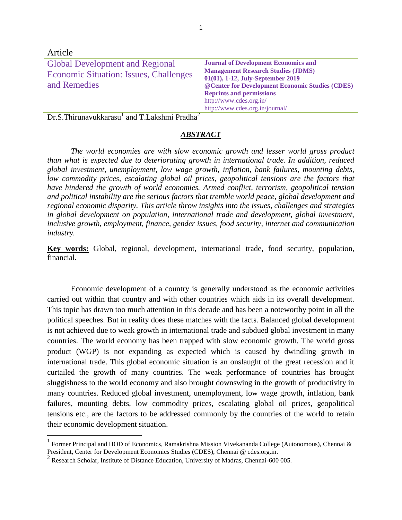| Article                                                                                                 |                                                                                                                                                                                                                                                                                    |
|---------------------------------------------------------------------------------------------------------|------------------------------------------------------------------------------------------------------------------------------------------------------------------------------------------------------------------------------------------------------------------------------------|
| <b>Global Development and Regional</b><br><b>Economic Situation: Issues, Challenges</b><br>and Remedies | <b>Journal of Development Economics and</b><br><b>Management Research Studies (JDMS)</b><br>01(01), 1-12, July-September 2019<br>@ Center for Development Economic Studies (CDES)<br><b>Reprints and permissions</b><br>http://www.cdes.org.in/<br>http://www.cdes.org.in/journal/ |

 $Dr.S. Thirunavukkarasu<sup>1</sup>$  and T.Lakshmi Pradha $^2$ 

## *ABSTRACT*

*The world economies are with slow economic growth and lesser world gross product than what is expected due to deteriorating growth in international trade. In addition, reduced global investment, unemployment, low wage growth, inflation, bank failures, mounting debts,*  low commodity prices, escalating global oil prices, geopolitical tensions are the factors that *have hindered the growth of world economies. Armed conflict, terrorism, geopolitical tension and political instability are the serious factors that tremble world peace, global development and regional economic disparity. This article throw insights into the issues, challenges and strategies in global development on population, international trade and development, global investment, inclusive growth, employment, finance, gender issues, food security, internet and communication industry.*

**Key words:** Global, regional, development, international trade, food security, population, financial.

Economic development of a country is generally understood as the economic activities carried out within that country and with other countries which aids in its overall development. This topic has drawn too much attention in this decade and has been a noteworthy point in all the political speeches. But in reality does these matches with the facts. Balanced global development is not achieved due to weak growth in international trade and subdued global investment in many countries. The world economy has been trapped with slow economic growth. The world gross product (WGP) is not expanding as expected which is caused by dwindling growth in international trade. This global economic situation is an onslaught of the great recession and it curtailed the growth of many countries. The weak performance of countries has brought sluggishness to the world economy and also brought downswing in the growth of productivity in many countries. Reduced global investment, unemployment, low wage growth, inflation, bank failures, mounting debts, low commodity prices, escalating global oil prices, geopolitical tensions etc., are the factors to be addressed commonly by the countries of the world to retain their economic development situation.

 $\overline{\phantom{a}}$ 

<sup>&</sup>lt;sup>1</sup> Former Principal and HOD of Economics, Ramakrishna Mission Vivekananda College (Autonomous), Chennai & President, Center for Development Economics Studies (CDES), Chennai @ cdes.org.in.

<sup>&</sup>lt;sup>2</sup> Research Scholar, Institute of Distance Education, University of Madras, Chennai-600 005.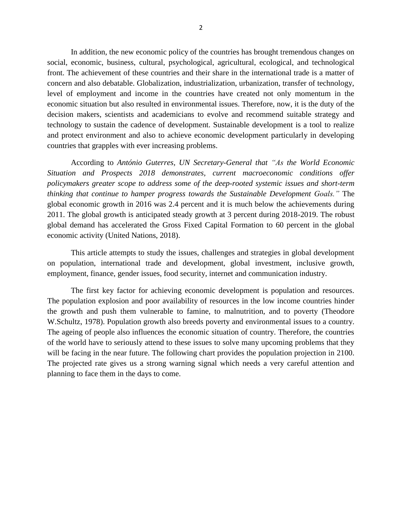In addition, the new economic policy of the countries has brought tremendous changes on social, economic, business, cultural, psychological, agricultural, ecological, and technological front. The achievement of these countries and their share in the international trade is a matter of concern and also debatable. Globalization, industrialization, urbanization, transfer of technology, level of employment and income in the countries have created not only momentum in the economic situation but also resulted in environmental issues. Therefore, now, it is the duty of the decision makers, scientists and academicians to evolve and recommend suitable strategy and technology to sustain the cadence of development. Sustainable development is a tool to realize and protect environment and also to achieve economic development particularly in developing countries that grapples with ever increasing problems.

According to *António Guterres, UN Secretary-General that "As the World Economic Situation and Prospects 2018 demonstrates, current macroeconomic conditions offer policymakers greater scope to address some of the deep-rooted systemic issues and short-term thinking that continue to hamper progress towards the Sustainable Development Goals."* The global economic growth in 2016 was 2.4 percent and it is much below the achievements during 2011. The global growth is anticipated steady growth at 3 percent during 2018-2019. The robust global demand has accelerated the Gross Fixed Capital Formation to 60 percent in the global economic activity (United Nations, 2018).

This article attempts to study the issues, challenges and strategies in global development on population, international trade and development, global investment, inclusive growth, employment, finance, gender issues, food security, internet and communication industry.

The first key factor for achieving economic development is population and resources. The population explosion and poor availability of resources in the low income countries hinder the growth and push them vulnerable to famine, to malnutrition, and to poverty (Theodore W.Schultz, 1978). Population growth also breeds poverty and environmental issues to a country. The ageing of people also influences the economic situation of country. Therefore, the countries of the world have to seriously attend to these issues to solve many upcoming problems that they will be facing in the near future. The following chart provides the population projection in 2100. The projected rate gives us a strong warning signal which needs a very careful attention and planning to face them in the days to come.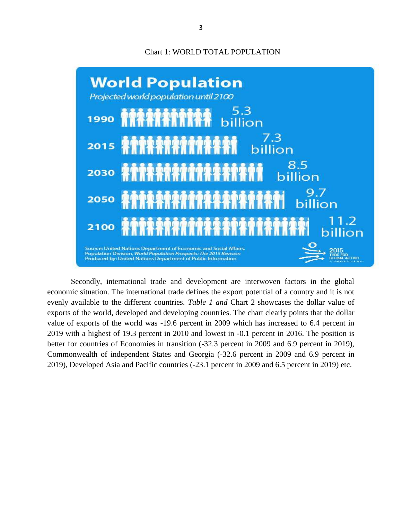

Secondly, international trade and development are interwoven factors in the global economic situation. The international trade defines the export potential of a country and it is not evenly available to the different countries. *Table 1 and* Chart 2 showcases the dollar value of exports of the world, developed and developing countries. The chart clearly points that the dollar value of exports of the world was -19.6 percent in 2009 which has increased to 6.4 percent in 2019 with a highest of 19.3 percent in 2010 and lowest in -0.1 percent in 2016. The position is better for countries of Economies in transition (-32.3 percent in 2009 and 6.9 percent in 2019), Commonwealth of independent States and Georgia (-32.6 percent in 2009 and 6.9 percent in 2019), Developed Asia and Pacific countries (-23.1 percent in 2009 and 6.5 percent in 2019) etc.

## Chart 1: WORLD TOTAL POPULATION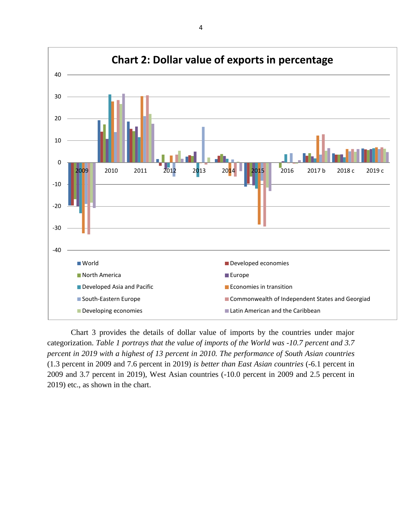

Chart 3 provides the details of dollar value of imports by the countries under major categorization. *Table 1 portrays that the value of imports of the World was -10.7 percent and 3.7 percent in 2019 with a highest of 13 percent in 2010. The performance of South Asian countries* (1.3 percent in 2009 and 7.6 percent in 2019) *is better than East Asian countries* (-6.1 percent in 2009 and 3.7 percent in 2019), West Asian countries (-10.0 percent in 2009 and 2.5 percent in 2019) etc., as shown in the chart.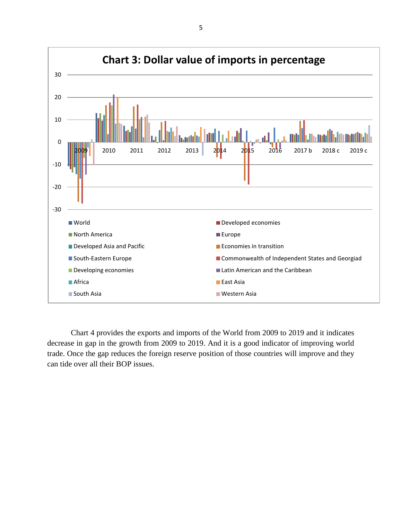

Chart 4 provides the exports and imports of the World from 2009 to 2019 and it indicates decrease in gap in the growth from 2009 to 2019. And it is a good indicator of improving world trade. Once the gap reduces the foreign reserve position of those countries will improve and they can tide over all their BOP issues.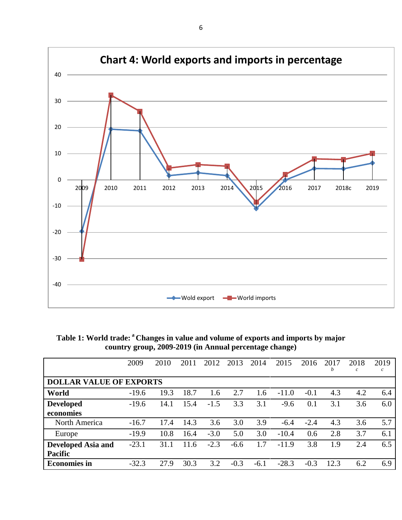

**Table 1: World trade: <sup>a</sup>Changes in value and volume of exports and imports by major country group, 2009-2019 (in Annual percentage change)**

|                                | 2009    | 2010 | 2011 | 2012   | 2013   | 2014   | 2015    | 2016   | 2017<br>h | 2018<br>$\epsilon$ | 2019<br>$\mathcal{C}_{0}$ |
|--------------------------------|---------|------|------|--------|--------|--------|---------|--------|-----------|--------------------|---------------------------|
| <b>DOLLAR VALUE OF EXPORTS</b> |         |      |      |        |        |        |         |        |           |                    |                           |
| World                          | $-19.6$ | 19.3 | 18.7 | 1.6    | 2.7    | 1.6    | $-11.0$ | $-0.1$ | 4.3       | 4.2                | 6.4                       |
| <b>Developed</b>               | $-19.6$ | 14.1 | 15.4 | $-1.5$ | 3.3    | 3.1    | $-9.6$  | 0.1    | 3.1       | 3.6                | 6.0                       |
| economies                      |         |      |      |        |        |        |         |        |           |                    |                           |
| North America                  | $-16.7$ | 17.4 | 14.3 | 3.6    | 3.0    | 3.9    | $-6.4$  | $-2.4$ | 4.3       | 3.6                | 5.7                       |
| Europe                         | $-19.9$ | 10.8 | 16.4 | $-3.0$ | 5.0    | 3.0    | $-10.4$ | 0.6    | 2.8       | 3.7                | 6.1                       |
| <b>Developed Asia and</b>      | $-23.1$ | 31.1 | 11.6 | $-2.3$ | $-6.6$ | 1.7    | $-11.9$ | 3.8    | 1.9       | 2.4                | 6.5                       |
| <b>Pacific</b>                 |         |      |      |        |        |        |         |        |           |                    |                           |
| <b>Economies in</b>            | $-32.3$ | 27.9 | 30.3 | 3.2    | $-0.3$ | $-6.1$ | $-28.3$ | $-0.3$ | 12.3      | 6.2                | 6.9                       |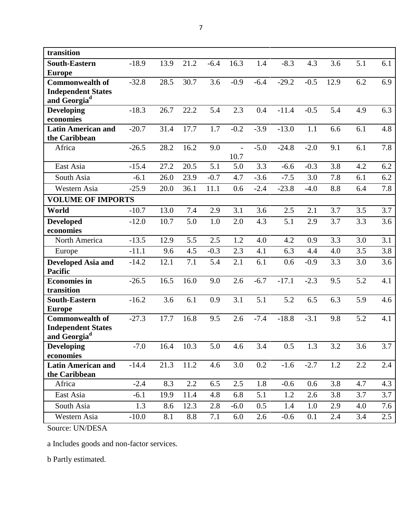| transition                              |         |      |      |        |          |        |         |        |      |         |     |
|-----------------------------------------|---------|------|------|--------|----------|--------|---------|--------|------|---------|-----|
| <b>South-Eastern</b>                    | $-18.9$ | 13.9 | 21.2 | $-6.4$ | 16.3     | 1.4    | $-8.3$  | 4.3    | 3.6  | 5.1     | 6.1 |
| <b>Europe</b>                           |         |      |      |        |          |        |         |        |      |         |     |
| <b>Commonwealth of</b>                  | $-32.8$ | 28.5 | 30.7 | 3.6    | $-0.9$   | $-6.4$ | $-29.2$ | $-0.5$ | 12.9 | 6.2     | 6.9 |
| <b>Independent States</b>               |         |      |      |        |          |        |         |        |      |         |     |
| and Georgia <sup>d</sup>                |         |      |      |        |          |        |         |        |      |         |     |
| <b>Developing</b>                       | $-18.3$ | 26.7 | 22.2 | 5.4    | 2.3      | 0.4    | $-11.4$ | $-0.5$ | 5.4  | 4.9     | 6.3 |
| economies<br><b>Latin American and</b>  | $-20.7$ | 31.4 | 17.7 | 1.7    | $-0.2$   | $-3.9$ | $-13.0$ | 1.1    | 6.6  | 6.1     | 4.8 |
| the Caribbean                           |         |      |      |        |          |        |         |        |      |         |     |
| Africa                                  | $-26.5$ | 28.2 | 16.2 | 9.0    | $\equiv$ | $-5.0$ | $-24.8$ | $-2.0$ | 9.1  | 6.1     | 7.8 |
|                                         |         |      |      |        | 10.7     |        |         |        |      |         |     |
| East Asia                               | $-15.4$ | 27.2 | 20.5 | 5.1    | 5.0      | 3.3    | $-6.6$  | $-0.3$ | 3.8  | 4.2     | 6.2 |
| South Asia                              | $-6.1$  | 26.0 | 23.9 | $-0.7$ | 4.7      | $-3.6$ | $-7.5$  | 3.0    | 7.8  | 6.1     | 6.2 |
| Western Asia                            | $-25.9$ | 20.0 | 36.1 | 11.1   | 0.6      | $-2.4$ | $-23.8$ | $-4.0$ | 8.8  | 6.4     | 7.8 |
| <b>VOLUME OF IMPORTS</b>                |         |      |      |        |          |        |         |        |      |         |     |
| World                                   | $-10.7$ | 13.0 | 7.4  | 2.9    | 3.1      | 3.6    | 2.5     | 2.1    | 3.7  | 3.5     | 3.7 |
| <b>Developed</b>                        | $-12.0$ | 10.7 | 5.0  | 1.0    | 2.0      | 4.3    | 5.1     | 2.9    | 3.7  | 3.3     | 3.6 |
| economies                               |         |      |      |        |          |        |         |        |      |         |     |
| North America                           | $-13.5$ | 12.9 | 5.5  | 2.5    | 1.2      | 4.0    | 4.2     | 0.9    | 3.3  | 3.0     | 3.1 |
| Europe                                  | $-11.1$ | 9.6  | 4.5  | $-0.3$ | 2.3      | 4.1    | 6.3     | 4.4    | 4.0  | 3.5     | 3.8 |
| <b>Developed Asia and</b>               | $-14.2$ | 12.1 | 7.1  | 5.4    | 2.1      | 6.1    | 0.6     | $-0.9$ | 3.3  | 3.0     | 3.6 |
| <b>Pacific</b>                          |         |      |      |        |          |        |         |        |      |         |     |
| <b>Economies in</b>                     | $-26.5$ | 16.5 | 16.0 | 9.0    | 2.6      | $-6.7$ | $-17.1$ | $-2.3$ | 9.5  | 5.2     | 4.1 |
| transition                              |         |      |      |        |          |        |         |        |      |         |     |
| <b>South-Eastern</b>                    | $-16.2$ | 3.6  | 6.1  | 0.9    | 3.1      | 5.1    | 5.2     | 6.5    | 6.3  | 5.9     | 4.6 |
| <b>Europe</b><br><b>Commonwealth of</b> | $-27.3$ | 17.7 | 16.8 | 9.5    | 2.6      | $-7.4$ | $-18.8$ | $-3.1$ | 9.8  | 5.2     | 4.1 |
| <b>Independent States</b>               |         |      |      |        |          |        |         |        |      |         |     |
| and Georgia <sup>d</sup>                |         |      |      |        |          |        |         |        |      |         |     |
| <b>Developing</b>                       | $-7.0$  | 16.4 | 10.3 | 5.0    | 4.6      | 3.4    | 0.5     | 1.3    | 3.2  | 3.6     | 3.7 |
| economies                               |         |      |      |        |          |        |         |        |      |         |     |
| <b>Latin American and</b>               | $-14.4$ | 21.3 | 11.2 | 4.6    | 3.0      | 0.2    | $-1.6$  | $-2.7$ | 1.2  | $2.2\,$ | 2.4 |
| the Caribbean                           |         |      |      |        |          |        |         |        |      |         |     |
| Africa                                  | $-2.4$  | 8.3  | 2.2  | 6.5    | 2.5      | 1.8    | $-0.6$  | 0.6    | 3.8  | 4.7     | 4.3 |
| East Asia                               | $-6.1$  | 19.9 | 11.4 | 4.8    | 6.8      | 5.1    | 1.2     | 2.6    | 3.8  | 3.7     | 3.7 |
| South Asia                              | 1.3     | 8.6  | 12.3 | 2.8    | $-6.0$   | 0.5    | 1.4     | 1.0    | 2.9  | 4.0     | 7.6 |
| Western Asia                            | $-10.0$ | 8.1  | 8.8  | 7.1    | 6.0      | 2.6    | $-0.6$  | 0.1    | 2.4  | 3.4     | 2.5 |

Source: UN/DESA

a Includes goods and non-factor services.

b Partly estimated.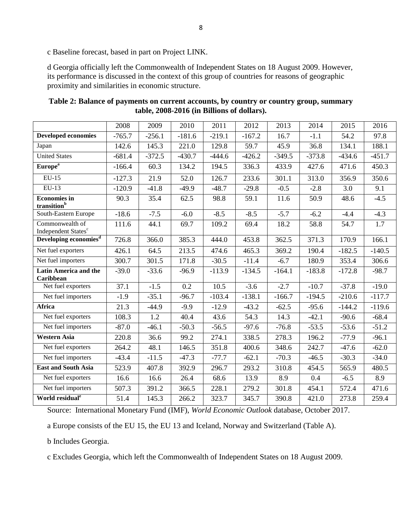c Baseline forecast, based in part on Project LINK.

d Georgia officially left the Commonwealth of Independent States on 18 August 2009. However, its performance is discussed in the context of this group of countries for reasons of geographic proximity and similarities in economic structure.

| Table 2: Balance of payments on current accounts, by country or country group, summary |
|----------------------------------------------------------------------------------------|
| table, 2008-2016 (in Billions of dollars).                                             |

|                                                    | 2008     | 2009     | 2010              | 2011     | 2012     | 2013     | 2014     | 2015     | 2016     |
|----------------------------------------------------|----------|----------|-------------------|----------|----------|----------|----------|----------|----------|
| <b>Developed economies</b>                         | $-765.7$ | $-256.1$ | $-181.6$          | $-219.1$ | $-167.2$ | 16.7     | $-1.1$   | 54.2     | 97.8     |
| Japan                                              | 142.6    | 145.3    | 221.0             | 129.8    | 59.7     | 45.9     | 36.8     | 134.1    | 188.1    |
| <b>United States</b>                               | $-681.4$ | $-372.5$ | $-430.7$          | $-444.6$ | $-426.2$ | $-349.5$ | $-373.8$ | $-434.6$ | $-451.7$ |
| Europe <sup>a</sup>                                | $-166.4$ | 60.3     | 134.2             | 194.5    | 336.3    | 433.9    | 427.6    | 471.6    | 450.3    |
| $EU-15$                                            | $-127.3$ | 21.9     | 52.0              | 126.7    | 233.6    | 301.1    | 313.0    | 356.9    | 350.6    |
| $EU-13$                                            | $-120.9$ | $-41.8$  | $-49.9$           | $-48.7$  | $-29.8$  | $-0.5$   | $-2.8$   | 3.0      | 9.1      |
| <b>Economies in</b><br>transition <sup>b</sup>     | 90.3     | 35.4     | $\overline{62.5}$ | 98.8     | 59.1     | 11.6     | 50.9     | 48.6     | $-4.5$   |
| South-Eastern Europe                               | $-18.6$  | $-7.5$   | $-6.0$            | $-8.5$   | $-8.5$   | $-5.7$   | $-6.2$   | $-4.4$   | $-4.3$   |
| Commonwealth of<br>Independent States <sup>c</sup> | 111.6    | 44.1     | 69.7              | 109.2    | 69.4     | 18.2     | 58.8     | 54.7     | 1.7      |
| Developing economies <sup>d</sup>                  | 726.8    | 366.0    | 385.3             | 444.0    | 453.8    | 362.5    | 371.3    | 170.9    | 166.1    |
| Net fuel exporters                                 | 426.1    | 64.5     | 213.5             | 474.6    | 465.3    | 369.2    | 190.4    | $-182.5$ | $-140.5$ |
| Net fuel importers                                 | 300.7    | 301.5    | 171.8             | $-30.5$  | $-11.4$  | $-6.7$   | 180.9    | 353.4    | 306.6    |
| <b>Latin America and the</b><br>Caribbean          | $-39.0$  | $-33.6$  | $-96.9$           | $-113.9$ | $-134.5$ | $-164.1$ | $-183.8$ | $-172.8$ | $-98.7$  |
| Net fuel exporters                                 | 37.1     | $-1.5$   | 0.2               | 10.5     | $-3.6$   | $-2.7$   | $-10.7$  | $-37.8$  | $-19.0$  |
| Net fuel importers                                 | $-1.9$   | $-35.1$  | $-96.7$           | $-103.4$ | $-138.1$ | $-166.7$ | $-194.5$ | $-210.6$ | $-117.7$ |
| <b>Africa</b>                                      | 21.3     | $-44.9$  | $-9.9$            | $-12.9$  | $-43.2$  | $-62.5$  | $-95.6$  | $-144.2$ | $-119.6$ |
| Net fuel exporters                                 | 108.3    | 1.2      | 40.4              | 43.6     | 54.3     | 14.3     | $-42.1$  | $-90.6$  | $-68.4$  |
| Net fuel importers                                 | $-87.0$  | $-46.1$  | $-50.3$           | $-56.5$  | $-97.6$  | $-76.8$  | $-53.5$  | $-53.6$  | $-51.2$  |
| <b>Western Asia</b>                                | 220.8    | 36.6     | 99.2              | 274.1    | 338.5    | 278.3    | 196.2    | $-77.9$  | $-96.1$  |
| Net fuel exporters                                 | 264.2    | 48.1     | 146.5             | 351.8    | 400.6    | 348.6    | 242.7    | $-47.6$  | $-62.0$  |
| Net fuel importers                                 | $-43.4$  | $-11.5$  | $-47.3$           | $-77.7$  | $-62.1$  | $-70.3$  | $-46.5$  | $-30.3$  | $-34.0$  |
| <b>East and South Asia</b>                         | 523.9    | 407.8    | 392.9             | 296.7    | 293.2    | 310.8    | 454.5    | 565.9    | 480.5    |
| Net fuel exporters                                 | 16.6     | 16.6     | 26.4              | 68.6     | 13.9     | 8.9      | 0.4      | $-6.5$   | 8.9      |
| Net fuel importers                                 | 507.3    | 391.2    | 366.5             | 228.1    | 279.2    | 301.8    | 454.1    | 572.4    | 471.6    |
| World residual <sup>e</sup>                        | 51.4     | 145.3    | 266.2             | 323.7    | 345.7    | 390.8    | 421.0    | 273.8    | 259.4    |

Source: International Monetary Fund (IMF), *World Economic Outlook* database, October 2017.

a Europe consists of the EU 15, the EU 13 and Iceland, Norway and Switzerland (Table A).

b Includes Georgia.

c Excludes Georgia, which left the Commonwealth of Independent States on 18 August 2009.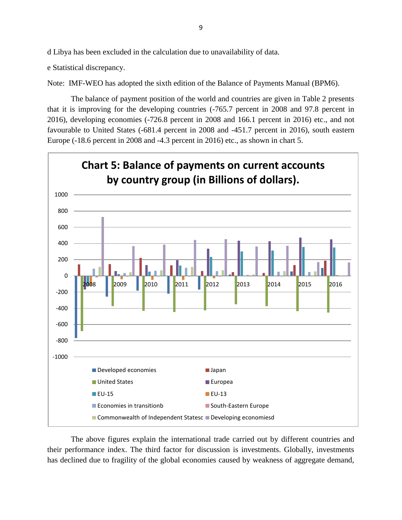d Libya has been excluded in the calculation due to unavailability of data.

e Statistical discrepancy.

Note: IMF-WEO has adopted the sixth edition of the Balance of Payments Manual (BPM6).

The balance of payment position of the world and countries are given in Table 2 presents that it is improving for the developing countries (-765.7 percent in 2008 and 97.8 percent in 2016), developing economies (-726.8 percent in 2008 and 166.1 percent in 2016) etc., and not favourable to United States (-681.4 percent in 2008 and -451.7 percent in 2016), south eastern Europe (-18.6 percent in 2008 and -4.3 percent in 2016) etc., as shown in chart 5.



The above figures explain the international trade carried out by different countries and their performance index. The third factor for discussion is investments. Globally, investments has declined due to fragility of the global economies caused by weakness of aggregate demand,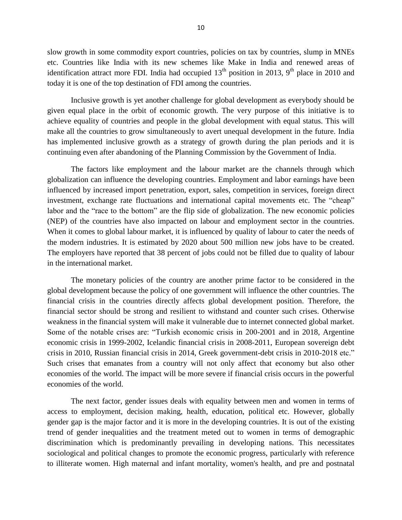slow growth in some commodity export countries, policies on tax by countries, slump in MNEs etc. Countries like India with its new schemes like Make in India and renewed areas of identification attract more FDI. India had occupied  $13<sup>th</sup>$  position in 2013, 9<sup>th</sup> place in 2010 and today it is one of the top destination of FDI among the countries.

Inclusive growth is yet another challenge for global development as everybody should be given equal place in the orbit of economic growth. The very purpose of this initiative is to achieve equality of countries and people in the global development with equal status. This will make all the countries to grow simultaneously to avert unequal development in the future. India has implemented inclusive growth as a strategy of growth during the plan periods and it is continuing even after abandoning of the Planning Commission by the Government of India.

The factors like employment and the labour market are the channels through which globalization can influence the developing countries. Employment and labor earnings have been influenced by increased import penetration, export, sales, competition in services, foreign direct investment, exchange rate fluctuations and international capital movements etc. The "cheap" labor and the "race to the bottom" are the flip side of globalization. The new economic policies (NEP) of the countries have also impacted on labour and employment sector in the countries. When it comes to global labour market, it is influenced by quality of labour to cater the needs of the modern industries. It is estimated by 2020 about 500 million new jobs have to be created. The employers have reported that 38 percent of jobs could not be filled due to quality of labour in the international market.

The monetary policies of the country are another prime factor to be considered in the global development because the policy of one government will influence the other countries. The financial crisis in the countries directly affects global development position. Therefore, the financial sector should be strong and resilient to withstand and counter such crises. Otherwise weakness in the financial system will make it vulnerable due to internet connected global market. Some of the notable crises are: "Turkish economic crisis in 200-2001 and in 2018, Argentine economic crisis in 1999-2002, [Icelandic financial crisis](https://en.wikipedia.org/wiki/Icelandic_financial_crisis) in 2008-2011, European sovereign debt crisis in 2010, [Russian financial crisis](https://en.wikipedia.org/wiki/2014_Russian_financial_crisis) in 2014, [Greek government-debt crisis](https://en.wikipedia.org/wiki/Greek_government-debt_crisis) in 2010-2018 etc." Such crises that emanates from a country will not only affect that economy but also other economies of the world. The impact will be more severe if financial crisis occurs in the powerful economies of the world.

The next factor, gender issues deals with equality between men and women in terms of access to employment, decision making, health, education, political etc. However, globally gender gap is the major factor and it is more in the developing countries. It is out of the existing trend of gender inequalities and the treatment meted out to women in terms of demographic discrimination which is predominantly prevailing in developing nations. This necessitates sociological and political changes to promote the economic progress, particularly with reference to illiterate women. High maternal and infant mortality, women's health, and pre and postnatal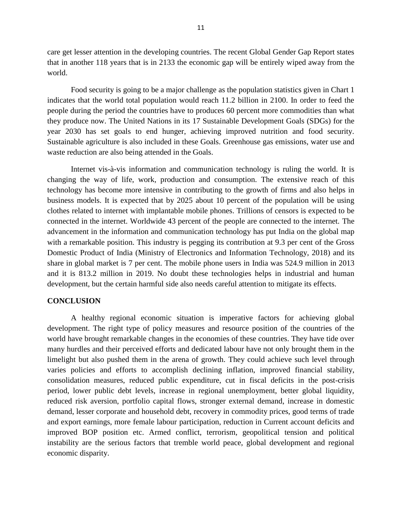care get lesser attention in the developing countries. The recent Global Gender Gap Report states that in another 118 years that is in 2133 the economic gap will be entirely wiped away from the world.

Food security is going to be a major challenge as the population statistics given in Chart 1 indicates that the world total population would reach 11.2 billion in 2100. In order to feed the people during the period the countries have to produces 60 percent more commodities than what they produce now. The United Nations in its 17 Sustainable Development Goals (SDGs) for the year 2030 has set goals to end hunger, achieving improved nutrition and food security. Sustainable agriculture is also included in these Goals. Greenhouse gas emissions, water use and waste reduction are also being attended in the Goals.

Internet vis-à-vis information and communication technology is ruling the world. It is changing the way of life, work, production and consumption. The extensive reach of this technology has become more intensive in contributing to the growth of firms and also helps in business models. It is expected that by 2025 about 10 percent of the population will be using clothes related to internet with implantable mobile phones. Trillions of censors is expected to be connected in the internet. Worldwide 43 percent of the people are connected to the internet. The advancement in the information and communication technology has put India on the global map with a remarkable position. This industry is pegging its contribution at 9.3 per cent of the Gross Domestic Product of India (Ministry of Electronics and Information Technology, 2018) and its share in global market is 7 per cent. The mobile phone users in India was 524.9 million in 2013 and it is 813.2 million in 2019. No doubt these technologies helps in industrial and human development, but the certain harmful side also needs careful attention to mitigate its effects.

## **CONCLUSION**

A healthy regional economic situation is imperative factors for achieving global development. The right type of policy measures and resource position of the countries of the world have brought remarkable changes in the economies of these countries. They have tide over many hurdles and their perceived efforts and dedicated labour have not only brought them in the limelight but also pushed them in the arena of growth. They could achieve such level through varies policies and efforts to accomplish declining inflation, improved financial stability, consolidation measures, reduced public expenditure, cut in fiscal deficits in the post-crisis period, lower public debt levels, increase in regional unemployment, better global liquidity, reduced risk aversion, portfolio capital flows, stronger external demand, increase in domestic demand, lesser corporate and household debt, recovery in commodity prices, good terms of trade and export earnings, more female labour participation, reduction in Current account deficits and improved BOP position etc. Armed conflict, terrorism, geopolitical tension and political instability are the serious factors that tremble world peace, global development and regional economic disparity.